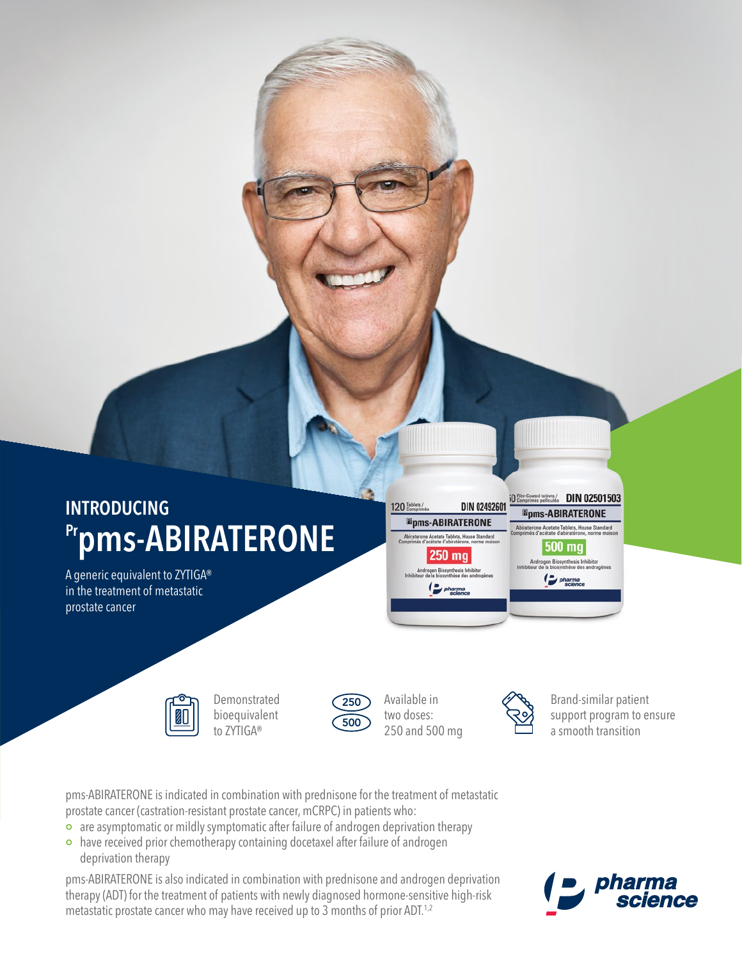

A generic equivalent to ZYTIGA® in the treatment of metastatic prostate cancer



Demonstrated bioequivalent to ZYTIGA®



Available in two doses:  $\overline{500}$  and 500 mg

120 Tablets /

**DIN 02492601** 

**Epms-ABIRATERONE** 

.<br>Abiraterone Acetate Tablets, House Standard<br>morimés d'acétate d'abiratérone, norme mais

**250 mg** 

Androgen Biosynthesis Inhibitor<br>viteur de la biosynthèse des androgè

pharma



**SO Film-Coated tablets/** DIN 02501503

**Epms-ABIRATERONE** 

500 mg

Androgen Biosynthesis Inhibitor<br>teur de la biosynthèse des androge

pharma

**Acetate Tablets, House Standard<br>acétate d'abiratérone, norme maiso** 

250 Available in  $\oslash$  Brand-similar patient support program to ensure a smooth transition

pms-ABIRATERONE is indicated in combination with prednisone for the treatment of metastatic prostate cancer (castration-resistant prostate cancer, mCRPC) in patients who:

- are asymptomatic or mildly symptomatic after failure of androgen deprivation therapy
- have received prior chemotherapy containing docetaxel after failure of androgen deprivation therapy

pms-ABIRATERONE is also indicated in combination with prednisone and androgen deprivation therapy (ADT) for the treatment of patients with newly diagnosed hormone-sensitive high-risk metastatic prostate cancer who may have received up to 3 months of prior ADT.<sup>1,2</sup>

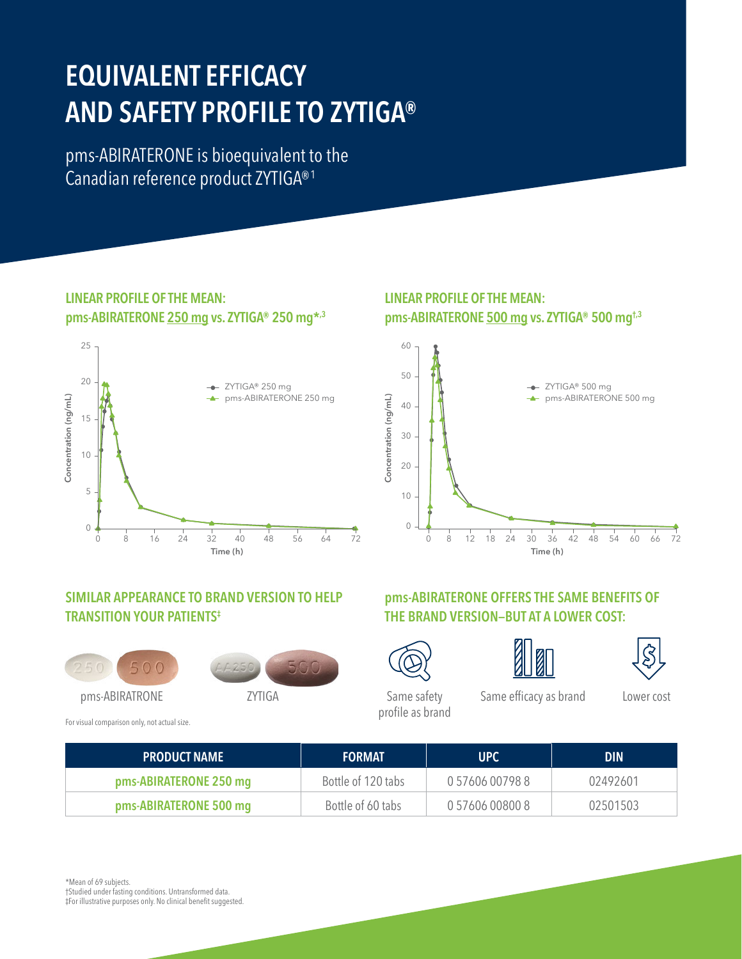# **EQUIVALENT EFFICACY AND SAFETY PROFILE TO ZYTIGA®**

pms-ABIRATERONE is bioequivalent to the Canadian reference product ZYTIGA®1

#### **LINEAR PROFILE OF THE MEAN: pms-ABIRATERONE 250 mg vs. ZYTIGA® 250 mg\*,3**



### **LINEAR PROFILE OF THE MEAN: pms-ABIRATERONE 500 mg vs. ZYTIGA® 500 mg†,3**



### **SIMILAR APPEARANCE TO BRAND VERSION TO HELP TRANSITION YOUR PATIENTS‡**





For visual comparison only, not actual size.







**pms-ABIRATERONE OFFERS THE SAME BENEFITS OF** 



Same safety profile as brand Same efficacy as brand Lower cost

| <b>PRODUCT NAME</b>    | <b>FORMAT</b>      | UPC             | <b>DIN</b> |
|------------------------|--------------------|-----------------|------------|
| pms-ABIRATERONE 250 mg | Bottle of 120 tabs | 0 57606 00798 8 | 02492601   |
| pms-ABIRATERONE 500 mg | Bottle of 60 tabs  | 0 57606 00800 8 | 02501503   |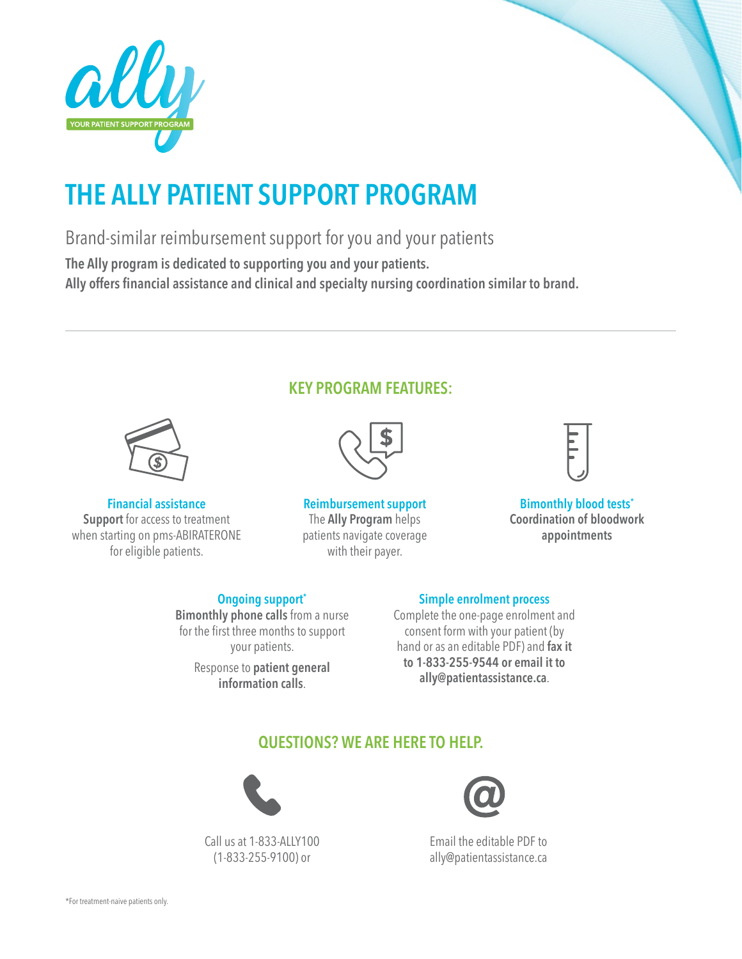



## **THE ALLY PATIENT SUPPORT PROGRAM**

Brand-similar reimbursement support for you and your patients

**The Ally program is dedicated to supporting you and your patients.**

**Ally offers financial assistance and clinical and specialty nursing coordination similar to brand.**



**Financial assistance Support** for access to treatment when starting on pms-ABIRATERONE for eligible patients.

### **KEY PROGRAM FEATURES:**



**Reimbursement support** The **Ally Program** helps patients navigate coverage with their payer.



**Bimonthly blood tests\* Coordination of bloodwork appointments**

#### **Ongoing support\***

**Bimonthly phone calls** from a nurse for the first three months to support your patients.

> Response to **patient general information calls**.

## **Simple enrolment process**

Complete the one-page enrolment and consent form with your patient (by hand or as an editable PDF) and **fax it to 1-833-255-9544 or email it to ally@patientassistance.ca**.

## **QUESTIONS? WE ARE HERE TO HELP.**



Call us at 1-833-ALLY100 (1-833-255-9100) or



Email the editable PDF to ally@patientassistance.ca